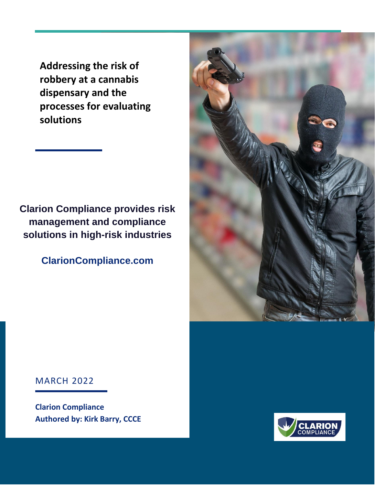**Addressing the risk of robbery at a cannabis dispensary and the processes for evaluating solutions**

**Clarion Compliance provides risk management and compliance solutions in high-risk industries**

**ClarionCompliance.com**



MARCH 2022

**Clarion Compliance Authored by: Kirk Barry, CCCE**

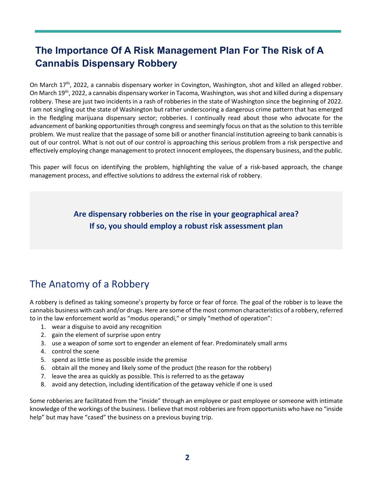# **The Importance Of A Risk Management Plan For The Risk of A Cannabis Dispensary Robbery**

On March 17<sup>th</sup>, 2022, a cannabis dispensary worker in Covington, Washington, shot and killed an alleged robber. On March 19<sup>th</sup>, 2022, a cannabis dispensary worker in Tacoma, Washington, was shot and killed during a dispensary robbery. These are just two incidents in a rash of robberies in the state of Washington since the beginning of 2022. I am not singling out the state of Washington but rather underscoring a dangerous crime pattern that has emerged in the fledgling marijuana dispensary sector; robberies. I continually read about those who advocate for the advancement of banking opportunities through congress and seemingly focus on that as the solution to this terrible problem. We must realize that the passage of some bill or another financial institution agreeing to bank cannabis is out of our control. What is not out of our control is approaching this serious problem from a risk perspective and effectively employing change management to protect innocent employees, the dispensary business, and the public.

This paper will focus on identifying the problem, highlighting the value of a risk-based approach, the change management process, and effective solutions to address the external risk of robbery.

> **Are dispensary robberies on the rise in your geographical area? If so, you should employ a robust risk assessment plan**

## The Anatomy of a Robbery

A robbery is defined as taking someone's property by force or fear of force. The goal of the robber is to leave the cannabis business with cash and/or drugs. Here are some of the most common characteristics of a robbery, referred to in the law enforcement world as "modus operandi," or simply "method of operation":

- 1. wear a disguise to avoid any recognition
- 2. gain the element of surprise upon entry
- 3. use a weapon of some sort to engender an element of fear. Predominately small arms
- 4. control the scene
- 5. spend as little time as possible inside the premise
- 6. obtain all the money and likely some of the product (the reason for the robbery)
- 7. leave the area as quickly as possible. This is referred to as the getaway
- 8. avoid any detection, including identification of the getaway vehicle if one is used

Some robberies are facilitated from the "inside" through an employee or past employee or someone with intimate knowledge of the workings of the business. I believe that most robberies are from opportunists who have no "inside help" but may have "cased" the business on a previous buying trip.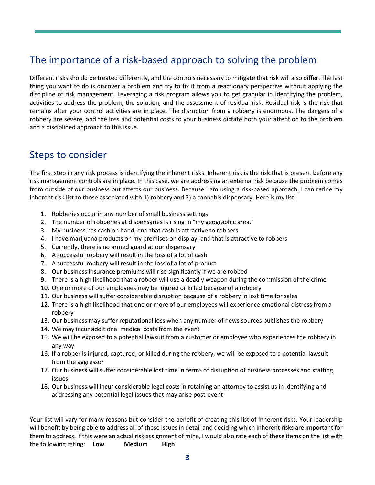### The importance of a risk-based approach to solving the problem

Different risks should be treated differently, and the controls necessary to mitigate that risk will also differ. The last thing you want to do is discover a problem and try to fix it from a reactionary perspective without applying the discipline of risk management. Leveraging a risk program allows you to get granular in identifying the problem, activities to address the problem, the solution, and the assessment of residual risk. Residual risk is the risk that remains after your control activities are in place. The disruption from a robbery is enormous. The dangers of a robbery are severe, and the loss and potential costs to your business dictate both your attention to the problem and a disciplined approach to this issue.

#### Steps to consider

The first step in any risk process is identifying the inherent risks. Inherent risk is the risk that is present before any risk management controls are in place. In this case, we are addressing an external risk because the problem comes from outside of our business but affects our business. Because I am using a risk-based approach, I can refine my inherent risk list to those associated with 1) robbery and 2) a cannabis dispensary. Here is my list:

- 1. Robberies occur in any number of small business settings
- 2. The number of robberies at dispensaries is rising in "my geographic area."
- 3. My business has cash on hand, and that cash is attractive to robbers
- 4. I have marijuana products on my premises on display, and that is attractive to robbers
- 5. Currently, there is no armed guard at our dispensary
- 6. A successful robbery will result in the loss of a lot of cash
- 7. A successful robbery will result in the loss of a lot of product
- 8. Our business insurance premiums will rise significantly if we are robbed
- 9. There is a high likelihood that a robber will use a deadly weapon during the commission of the crime
- 10. One or more of our employees may be injured or killed because of a robbery
- 11. Our business will suffer considerable disruption because of a robbery in lost time for sales
- 12. There is a high likelihood that one or more of our employees will experience emotional distress from a robbery
- 13. Our business may suffer reputational loss when any number of news sources publishes the robbery
- 14. We may incur additional medical costs from the event
- 15. We will be exposed to a potential lawsuit from a customer or employee who experiences the robbery in any way
- 16. If a robber is injured, captured, or killed during the robbery, we will be exposed to a potential lawsuit from the aggressor
- 17. Our business will suffer considerable lost time in terms of disruption of business processes and staffing issues
- 18. Our business will incur considerable legal costs in retaining an attorney to assist us in identifying and addressing any potential legal issues that may arise post-event

Your list will vary for many reasons but consider the benefit of creating this list of inherent risks. Your leadership will benefit by being able to address all of these issues in detail and deciding which inherent risks are important for them to address. If this were an actual risk assignment of mine, I would also rate each of these items on the list with the following rating: **Low Medium High**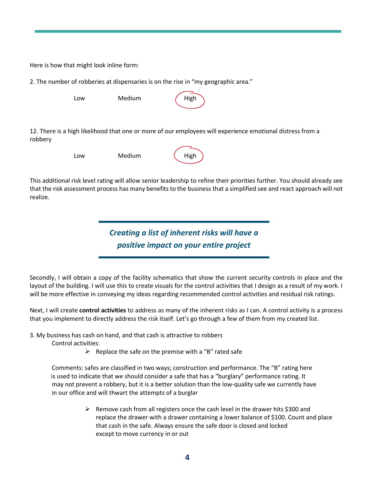Here is how that might look inline form:

2. The number of robberies at dispensaries is on the rise in "my geographic area."

| Low | Medium | High |
|-----|--------|------|
|     |        |      |

12. There is a high likelihood that one or more of our employees will experience emotional distress from a robbery

| Low | Medium |
|-----|--------|
|     |        |

| High |
|------|
|      |

This additional risk level rating will allow senior leadership to refine their priorities further. You should already see that the risk assessment process has many benefits to the business that a simplified see and react approach will not realize.

> *Creating a list of inherent risks will have a positive impact on your entire project*

Secondly, I will obtain a copy of the facility schematics that show the current security controls in place and the layout of the building. I will use this to create visuals for the control activities that I design as a result of my work. I will be more effective in conveying my ideas regarding recommended control activities and residual risk ratings.

Next, I will create **control activities** to address as many of the inherent risks as I can. A control activity is a process that you implement to directly address the risk itself. Let's go through a few of them from my created list.

3. My business has cash on hand, and that cash is attractive to robbers

Control activities:

 $\triangleright$  Replace the safe on the premise with a "B" rated safe

Comments: safes are classified in two ways; construction and performance. The "B" rating here is used to indicate that we should consider a safe that has a "burglary" performance rating. It may not prevent a robbery, but it is a better solution than the low-quality safe we currently have in our office and will thwart the attempts of a burglar

> $\triangleright$  Remove cash from all registers once the cash level in the drawer hits \$300 and replace the drawer with a drawer containing a lower balance of \$100. Count and place that cash in the safe. Always ensure the safe door is closed and locked except to move currency in or out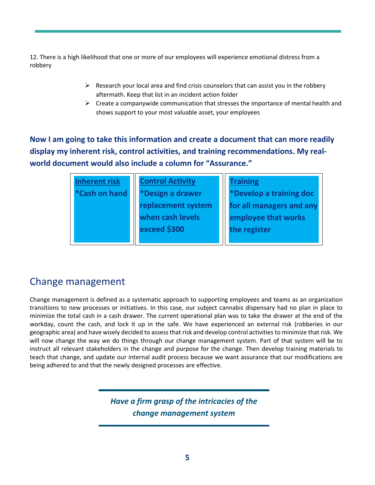12. There is a high likelihood that one or more of our employees will experience emotional distress from a robbery

- $\triangleright$  Research your local area and find crisis counselors that can assist you in the robbery aftermath. Keep that list in an incident action folder
- $\triangleright$  Create a companywide communication that stresses the importance of mental health and shows support to your most valuable asset, your employees

**Now I am going to take this information and create a document that can more readily display my inherent risk, control activities, and training recommendations. My realworld document would also include a column for "Assurance."**

| Inherent risk               | <b>Control Activity</b> | <b>Training</b>          |
|-----------------------------|-------------------------|--------------------------|
| <i><b>*Cash on hand</b></i> | *Design a drawer        | *Develop a training doc  |
|                             | replacement system      | for all managers and any |
|                             | when cash levels        | employee that works      |
|                             | exceed \$300            | the register             |
|                             |                         |                          |

### Change management

Change management is defined as a systematic approach to supporting employees and teams as an organization transitions to new processes or initiatives. In this case, our subject cannabis dispensary had no plan in place to minimize the total cash in a cash drawer. The current operational plan was to take the drawer at the end of the workday, count the cash, and lock it up in the safe. We have experienced an external risk (robberies in our geographic area) and have wisely decided to assess that risk and develop control activities to minimize that risk. We will now change the way we do things through our change management system. Part of that system will be to instruct all relevant stakeholders in the change and purpose for the change. Then develop training materials to teach that change, and update our internal audit process because we want assurance that our modifications are being adhered to and that the newly designed processes are effective.

> *Have a firm grasp of the intricacies of the change management system*